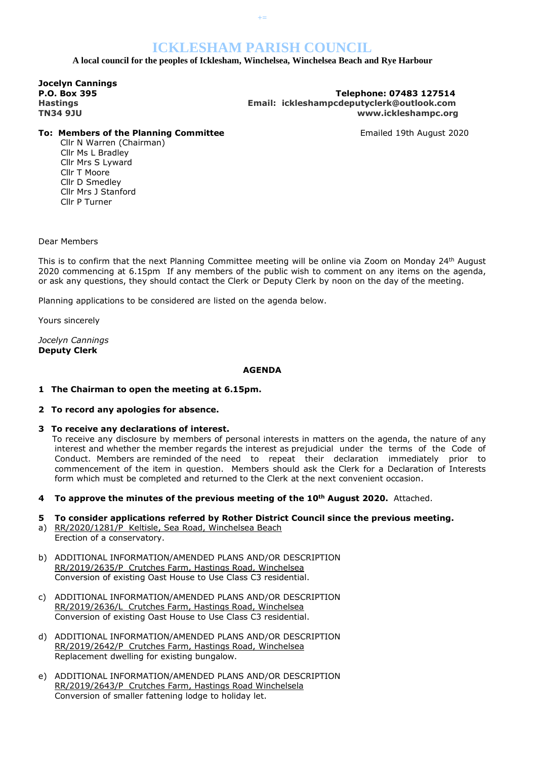# **ICKLESHAM PARISH COUNCIL**

 **A local council for the peoples of Icklesham, Winchelsea, Winchelsea Beach and Rye Harbour**

**Jocelyn Cannings** 

**P.O. Box 395 Telephone: 07483 127514 Hastings Email: ickleshampcdeputyclerk@outlook.com TN34 9JU www.ickleshampc.org**

### **To: Members of the Planning Committee Emailed 19th August 2020**

Cllr N Warren (Chairman) Cllr Ms L Bradley Cllr Mrs S Lyward Cllr T Moore Cllr D Smedley Cllr Mrs J Stanford Cllr P Turner

Dear Members

This is to confirm that the next Planning Committee meeting will be online via Zoom on Monday 24th August 2020 commencing at 6.15pm If any members of the public wish to comment on any items on the agenda, or ask any questions, they should contact the Clerk or Deputy Clerk by noon on the day of the meeting.

Planning applications to be considered are listed on the agenda below.

Yours sincerely

*Jocelyn Cannings* **Deputy Clerk**

### **AGENDA**

- **1 The Chairman to open the meeting at 6.15pm.**
- **2 To record any apologies for absence.**
- **3 To receive any declarations of interest.**

To receive any disclosure by members of personal interests in matters on the agenda, the nature of any interest and whether the member regards the interest as prejudicial under the terms of the Code of Conduct. Members are reminded of the need to repeat their declaration immediately prior to commencement of the item in question. Members should ask the Clerk for a Declaration of Interests form which must be completed and returned to the Clerk at the next convenient occasion.

- **4 To approve the minutes of the previous meeting of the 10th August 2020.** Attached.
- **5 To consider applications referred by Rother District Council since the previous meeting.**
- a) RR/2020/1281/P Keltisle, Sea Road, Winchelsea Beach Erection of a conservatory.
- b) ADDITIONAL INFORMATION/AMENDED PLANS AND/OR DESCRIPTION RR/2019/2635/P Crutches Farm, Hastings Road, Winchelsea Conversion of existing Oast House to Use Class C3 residential.
- c) ADDITIONAL INFORMATION/AMENDED PLANS AND/OR DESCRIPTION RR/2019/2636/L Crutches Farm, Hastings Road, Winchelsea Conversion of existing Oast House to Use Class C3 residential.
- d) ADDITIONAL INFORMATION/AMENDED PLANS AND/OR DESCRIPTION RR/2019/2642/P Crutches Farm, Hastings Road, Winchelsea Replacement dwelling for existing bungalow.
- e) ADDITIONAL INFORMATION/AMENDED PLANS AND/OR DESCRIPTION RR/2019/2643/P Crutches Farm, Hastings Road Winchelsela Conversion of smaller fattening lodge to holiday let.